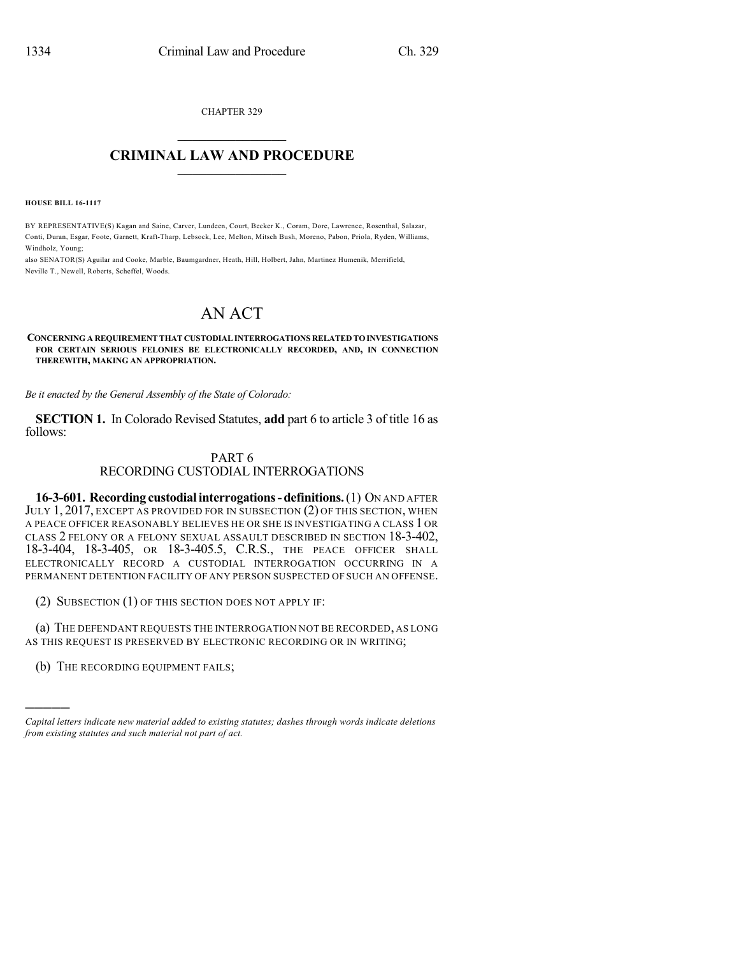CHAPTER 329

## $\mathcal{L}_\text{max}$  . The set of the set of the set of the set of the set of the set of the set of the set of the set of the set of the set of the set of the set of the set of the set of the set of the set of the set of the set **CRIMINAL LAW AND PROCEDURE**  $\frac{1}{2}$  ,  $\frac{1}{2}$  ,  $\frac{1}{2}$  ,  $\frac{1}{2}$  ,  $\frac{1}{2}$  ,  $\frac{1}{2}$  ,  $\frac{1}{2}$

**HOUSE BILL 16-1117**

BY REPRESENTATIVE(S) Kagan and Saine, Carver, Lundeen, Court, Becker K., Coram, Dore, Lawrence, Rosenthal, Salazar, Conti, Duran, Esgar, Foote, Garnett, Kraft-Tharp, Lebsock, Lee, Melton, Mitsch Bush, Moreno, Pabon, Priola, Ryden, Williams, Windholz, Young;

also SENATOR(S) Aguilar and Cooke, Marble, Baumgardner, Heath, Hill, Holbert, Jahn, Martinez Humenik, Merrifield, Neville T., Newell, Roberts, Scheffel, Woods.

## AN ACT

**CONCERNING A REQUIREMENTTHAT CUSTODIALINTERROGATIONS RELATED TOINVESTIGATIONS FOR CERTAIN SERIOUS FELONIES BE ELECTRONICALLY RECORDED, AND, IN CONNECTION THEREWITH, MAKING AN APPROPRIATION.**

*Be it enacted by the General Assembly of the State of Colorado:*

**SECTION 1.** In Colorado Revised Statutes, **add** part 6 to article 3 of title 16 as follows:

## PART 6 RECORDING CUSTODIAL INTERROGATIONS

**16-3-601. Recording custodialinterrogations-definitions.**(1) ON AND AFTER JULY 1, 2017, EXCEPT AS PROVIDED FOR IN SUBSECTION (2) OF THIS SECTION, WHEN A PEACE OFFICER REASONABLY BELIEVES HE OR SHE IS INVESTIGATING A CLASS 1 OR CLASS 2 FELONY OR A FELONY SEXUAL ASSAULT DESCRIBED IN SECTION 18-3-402, 18-3-404, 18-3-405, OR 18-3-405.5, C.R.S., THE PEACE OFFICER SHALL ELECTRONICALLY RECORD A CUSTODIAL INTERROGATION OCCURRING IN A PERMANENT DETENTION FACILITY OF ANY PERSON SUSPECTED OF SUCH AN OFFENSE.

(2) SUBSECTION (1) OF THIS SECTION DOES NOT APPLY IF:

(a) THE DEFENDANT REQUESTS THE INTERROGATION NOT BE RECORDED, AS LONG AS THIS REQUEST IS PRESERVED BY ELECTRONIC RECORDING OR IN WRITING;

(b) THE RECORDING EQUIPMENT FAILS;

)))))

*Capital letters indicate new material added to existing statutes; dashes through words indicate deletions from existing statutes and such material not part of act.*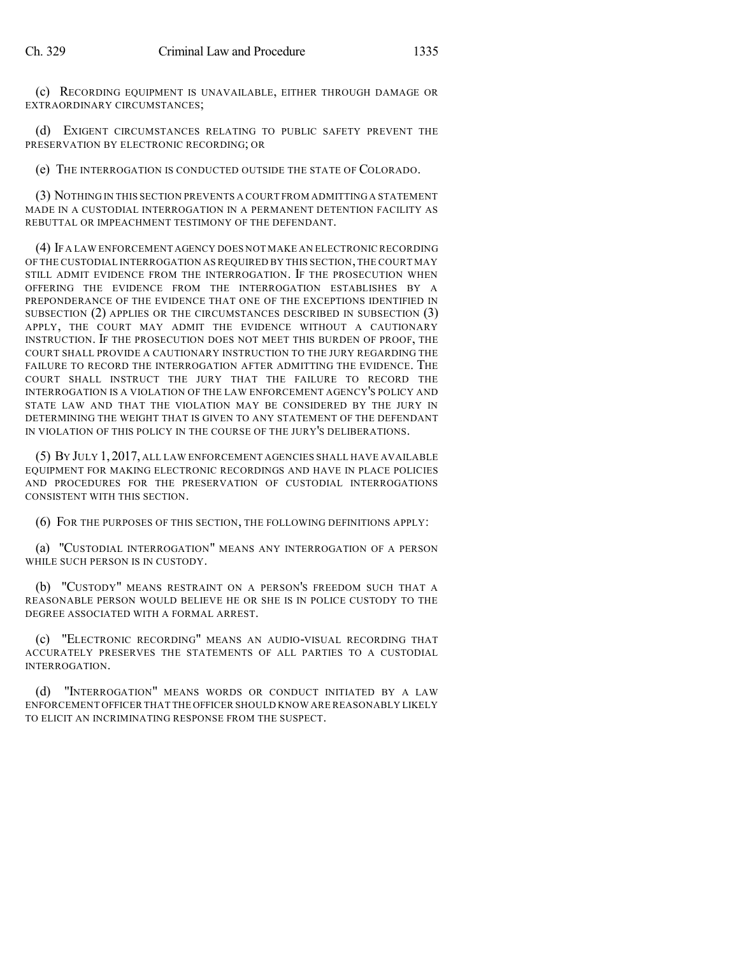(c) RECORDING EQUIPMENT IS UNAVAILABLE, EITHER THROUGH DAMAGE OR EXTRAORDINARY CIRCUMSTANCES;

(d) EXIGENT CIRCUMSTANCES RELATING TO PUBLIC SAFETY PREVENT THE PRESERVATION BY ELECTRONIC RECORDING; OR

(e) THE INTERROGATION IS CONDUCTED OUTSIDE THE STATE OF COLORADO.

(3) NOTHING IN THIS SECTION PREVENTS A COURT FROM ADMITTING A STATEMENT MADE IN A CUSTODIAL INTERROGATION IN A PERMANENT DETENTION FACILITY AS REBUTTAL OR IMPEACHMENT TESTIMONY OF THE DEFENDANT.

(4) IF A LAW ENFORCEMENT AGENCY DOES NOT MAKE AN ELECTRONIC RECORDING OF THE CUSTODIAL INTERROGATION AS REQUIRED BY THIS SECTION,THE COURT MAY STILL ADMIT EVIDENCE FROM THE INTERROGATION. IF THE PROSECUTION WHEN OFFERING THE EVIDENCE FROM THE INTERROGATION ESTABLISHES BY A PREPONDERANCE OF THE EVIDENCE THAT ONE OF THE EXCEPTIONS IDENTIFIED IN SUBSECTION (2) APPLIES OR THE CIRCUMSTANCES DESCRIBED IN SUBSECTION (3) APPLY, THE COURT MAY ADMIT THE EVIDENCE WITHOUT A CAUTIONARY INSTRUCTION. IF THE PROSECUTION DOES NOT MEET THIS BURDEN OF PROOF, THE COURT SHALL PROVIDE A CAUTIONARY INSTRUCTION TO THE JURY REGARDING THE FAILURE TO RECORD THE INTERROGATION AFTER ADMITTING THE EVIDENCE. THE COURT SHALL INSTRUCT THE JURY THAT THE FAILURE TO RECORD THE INTERROGATION IS A VIOLATION OF THE LAW ENFORCEMENT AGENCY'S POLICY AND STATE LAW AND THAT THE VIOLATION MAY BE CONSIDERED BY THE JURY IN DETERMINING THE WEIGHT THAT IS GIVEN TO ANY STATEMENT OF THE DEFENDANT IN VIOLATION OF THIS POLICY IN THE COURSE OF THE JURY'S DELIBERATIONS.

(5) BY JULY 1, 2017, ALL LAW ENFORCEMENT AGENCIES SHALL HAVE AVAILABLE EQUIPMENT FOR MAKING ELECTRONIC RECORDINGS AND HAVE IN PLACE POLICIES AND PROCEDURES FOR THE PRESERVATION OF CUSTODIAL INTERROGATIONS CONSISTENT WITH THIS SECTION.

(6) FOR THE PURPOSES OF THIS SECTION, THE FOLLOWING DEFINITIONS APPLY:

(a) "CUSTODIAL INTERROGATION" MEANS ANY INTERROGATION OF A PERSON WHILE SUCH PERSON IS IN CUSTODY.

(b) "CUSTODY" MEANS RESTRAINT ON A PERSON'S FREEDOM SUCH THAT A REASONABLE PERSON WOULD BELIEVE HE OR SHE IS IN POLICE CUSTODY TO THE DEGREE ASSOCIATED WITH A FORMAL ARREST.

(c) "ELECTRONIC RECORDING" MEANS AN AUDIO-VISUAL RECORDING THAT ACCURATELY PRESERVES THE STATEMENTS OF ALL PARTIES TO A CUSTODIAL INTERROGATION.

"INTERROGATION" MEANS WORDS OR CONDUCT INITIATED BY A LAW ENFORCEMENT OFFICER THAT THE OFFICER SHOULD KNOW ARE REASONABLY LIKELY TO ELICIT AN INCRIMINATING RESPONSE FROM THE SUSPECT.